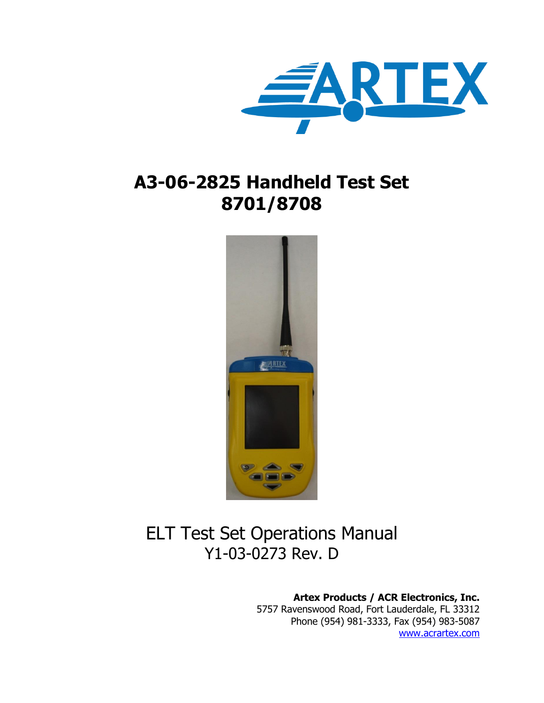

# **A3-06-2825 Handheld Test Set 8701/8708**



# ELT Test Set Operations Manual Y1-03-0273 Rev. D

**Artex Products / ACR Electronics, Inc.**

5757 Ravenswood Road, Fort Lauderdale, FL 33312 Phone (954) 981-3333, Fax (954) 983-5087 [www.acrartex.com](http://www.acrartex.com/)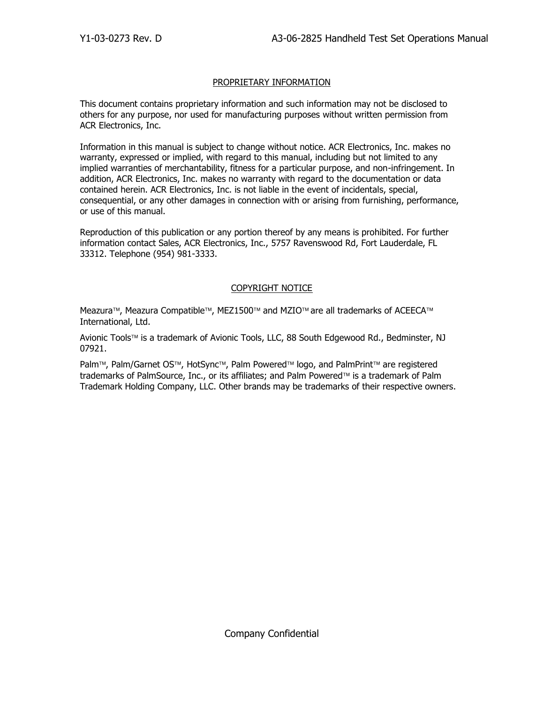#### PROPRIETARY INFORMATION

This document contains proprietary information and such information may not be disclosed to others for any purpose, nor used for manufacturing purposes without written permission from ACR Electronics, Inc.

Information in this manual is subject to change without notice. ACR Electronics, Inc. makes no warranty, expressed or implied, with regard to this manual, including but not limited to any implied warranties of merchantability, fitness for a particular purpose, and non-infringement. In addition, ACR Electronics, Inc. makes no warranty with regard to the documentation or data contained herein. ACR Electronics, Inc. is not liable in the event of incidentals, special, consequential, or any other damages in connection with or arising from furnishing, performance, or use of this manual.

Reproduction of this publication or any portion thereof by any means is prohibited. For further information contact Sales, ACR Electronics, Inc., 5757 Ravenswood Rd, Fort Lauderdale, FL 33312. Telephone (954) 981-3333.

#### COPYRIGHT NOTICE

Meazura™, Meazura Compatible™, MEZ1500™ and MZIO™ are all trademarks of ACEECA™ International, Ltd.

Avionic Tools™ is a trademark of Avionic Tools, LLC, 88 South Edgewood Rd., Bedminster, NJ 07921.

Palm™, Palm/Garnet OS™, HotSync™, Palm Powered™ logo, and PalmPrint™ are registered trademarks of PalmSource, Inc., or its affiliates; and Palm Powered™ is a trademark of Palm Trademark Holding Company, LLC. Other brands may be trademarks of their respective owners.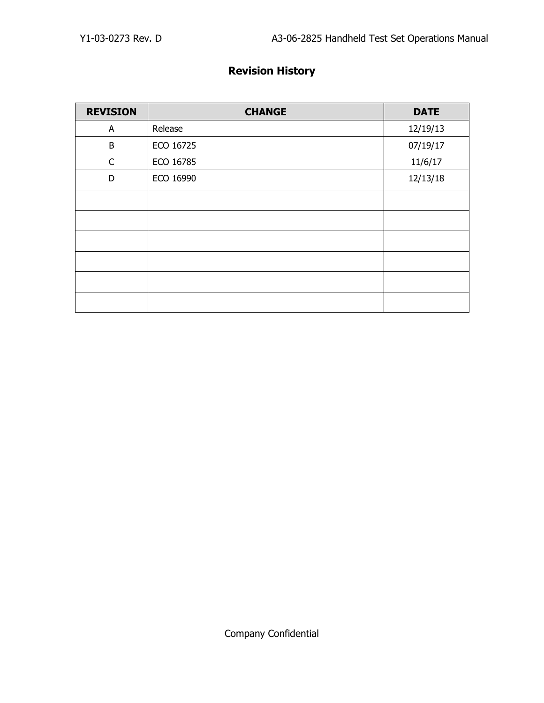## **Revision History**

| <b>REVISION</b> | <b>CHANGE</b> | <b>DATE</b> |
|-----------------|---------------|-------------|
| A               | Release       | 12/19/13    |
| B               | ECO 16725     | 07/19/17    |
| $\mathsf C$     | ECO 16785     | 11/6/17     |
| D               | ECO 16990     | 12/13/18    |
|                 |               |             |
|                 |               |             |
|                 |               |             |
|                 |               |             |
|                 |               |             |
|                 |               |             |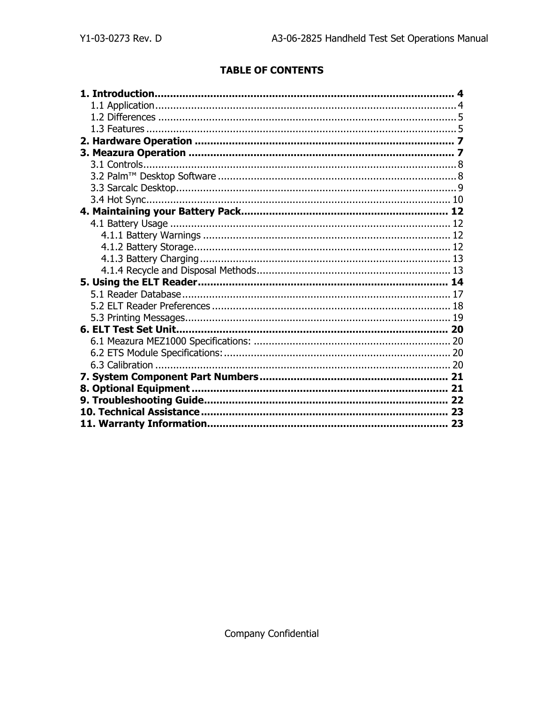## **TABLE OF CONTENTS**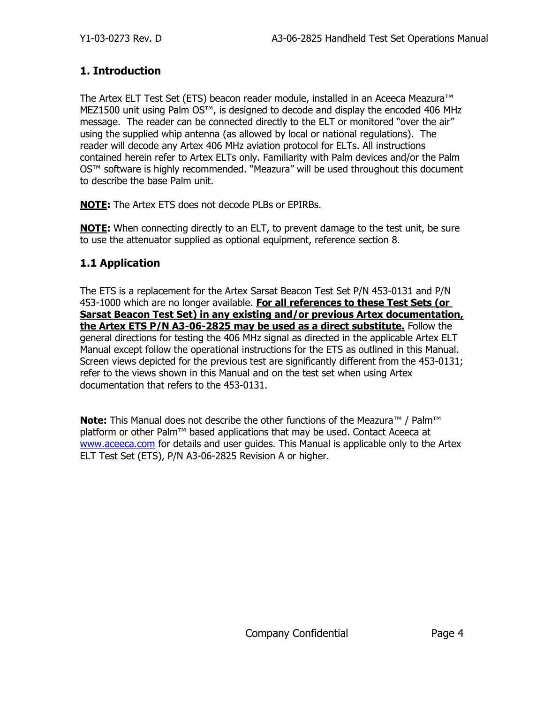### <span id="page-4-0"></span>**1. Introduction**

The Artex ELT Test Set (ETS) beacon reader module, installed in an Aceeca Meazura™ MEZ1500 unit using Palm OS™, is designed to decode and display the encoded 406 MHz message. The reader can be connected directly to the ELT or monitored "over the air" using the supplied whip antenna (as allowed by local or national regulations). The reader will decode any Artex 406 MHz aviation protocol for ELTs. All instructions contained herein refer to Artex ELTs only. Familiarity with Palm devices and/or the Palm OS™ software is highly recommended. "Meazura" will be used throughout this document to describe the base Palm unit.

**NOTE:** The Artex ETS does not decode PLBs or EPIRBs.

**NOTE:** When connecting directly to an ELT, to prevent damage to the test unit, be sure to use the attenuator supplied as optional equipment, reference section 8.

### <span id="page-4-1"></span>**1.1 Application**

The ETS is a replacement for the Artex Sarsat Beacon Test Set P/N 453-0131 and P/N 453-1000 which are no longer available. **For all references to these Test Sets (or Sarsat Beacon Test Set) in any existing and/or previous Artex documentation, the Artex ETS P/N A3-06-2825 may be used as a direct substitute.** Follow the general directions for testing the 406 MHz signal as directed in the applicable Artex ELT Manual except follow the operational instructions for the ETS as outlined in this Manual. Screen views depicted for the previous test are significantly different from the 453-0131; refer to the views shown in this Manual and on the test set when using Artex documentation that refers to the 453-0131.

**Note:** This Manual does not describe the other functions of the Meazura<sup>™</sup> / Palm™ platform or other Palm<sup>™</sup> based applications that may be used. Contact Aceeca at [www.aceeca.com](http://www.aceeca.com/) for details and user guides. This Manual is applicable only to the Artex ELT Test Set (ETS), P/N A3-06-2825 Revision A or higher.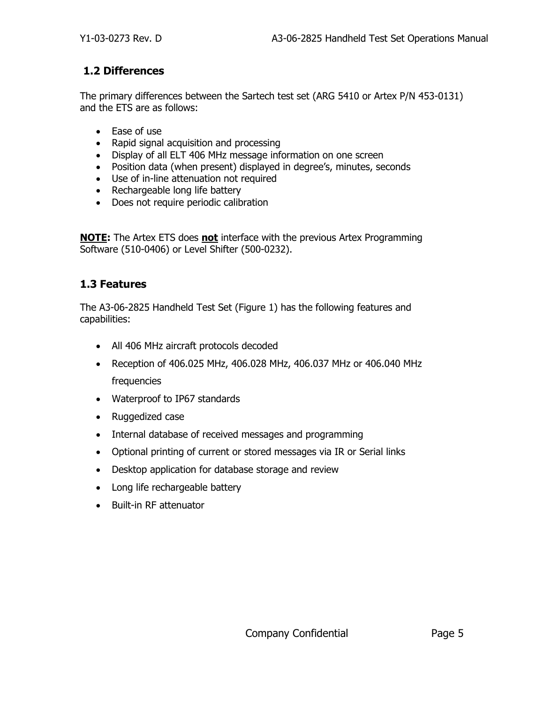#### **1.2 Differences**

The primary differences between the Sartech test set (ARG 5410 or Artex P/N 453-0131) and the ETS are as follows:

- Ease of use
- Rapid signal acquisition and processing
- Display of all ELT 406 MHz message information on one screen
- Position data (when present) displayed in degree's, minutes, seconds
- Use of in-line attenuation not required
- Rechargeable long life battery
- Does not require periodic calibration

**NOTE:** The Artex ETS does **not** interface with the previous Artex Programming Software (510-0406) or Level Shifter (500-0232).

#### <span id="page-5-0"></span>**1.3 Features**

The A3-06-2825 Handheld Test Set (Figure 1) has the following features and capabilities:

- All 406 MHz aircraft protocols decoded
- Reception of 406.025 MHz, 406.028 MHz, 406.037 MHz or 406.040 MHz frequencies
- Waterproof to IP67 standards
- Ruggedized case
- Internal database of received messages and programming
- Optional printing of current or stored messages via IR or Serial links
- Desktop application for database storage and review
- Long life rechargeable battery
- Built-in RF attenuator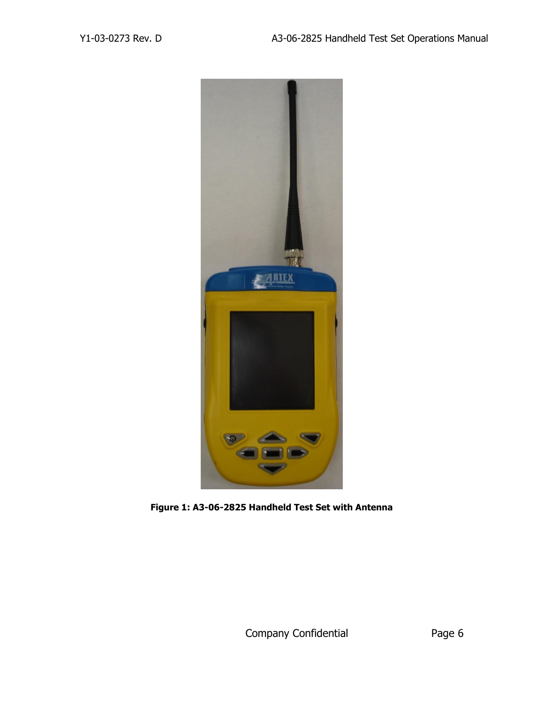

**Figure 1: A3-06-2825 Handheld Test Set with Antenna**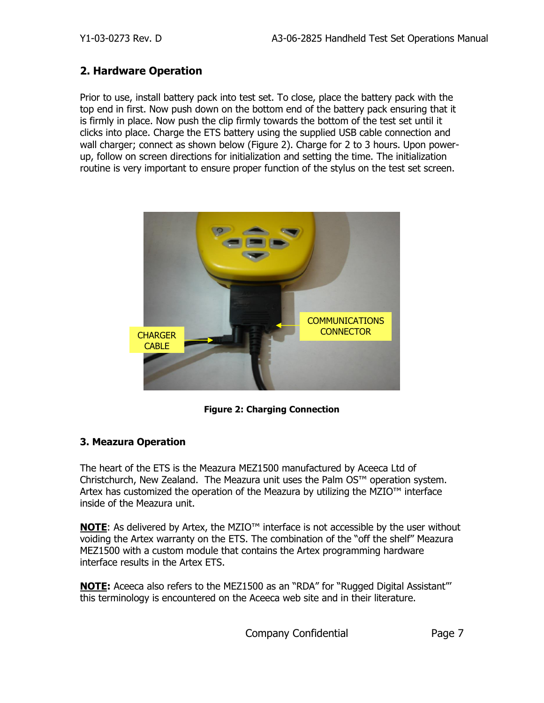#### <span id="page-7-0"></span>**2. Hardware Operation**

Prior to use, install battery pack into test set. To close, place the battery pack with the top end in first. Now push down on the bottom end of the battery pack ensuring that it is firmly in place. Now push the clip firmly towards the bottom of the test set until it clicks into place. Charge the ETS battery using the supplied USB cable connection and wall charger; connect as shown below (Figure 2). Charge for 2 to 3 hours. Upon powerup, follow on screen directions for initialization and setting the time. The initialization routine is very important to ensure proper function of the stylus on the test set screen.



**Figure 2: Charging Connection**

#### <span id="page-7-1"></span>**3. Meazura Operation**

The heart of the ETS is the Meazura MEZ1500 manufactured by Aceeca Ltd of Christchurch, New Zealand. The Meazura unit uses the Palm OS™ operation system. Artex has customized the operation of the Meazura by utilizing the MZIO™ interface inside of the Meazura unit.

**NOTE**: As delivered by Artex, the MZIO<sup>™</sup> interface is not accessible by the user without voiding the Artex warranty on the ETS. The combination of the "off the shelf" Meazura MEZ1500 with a custom module that contains the Artex programming hardware interface results in the Artex ETS.

**NOTE:** Aceeca also refers to the MEZ1500 as an "RDA" for "Rugged Digital Assistant"' this terminology is encountered on the Aceeca web site and in their literature.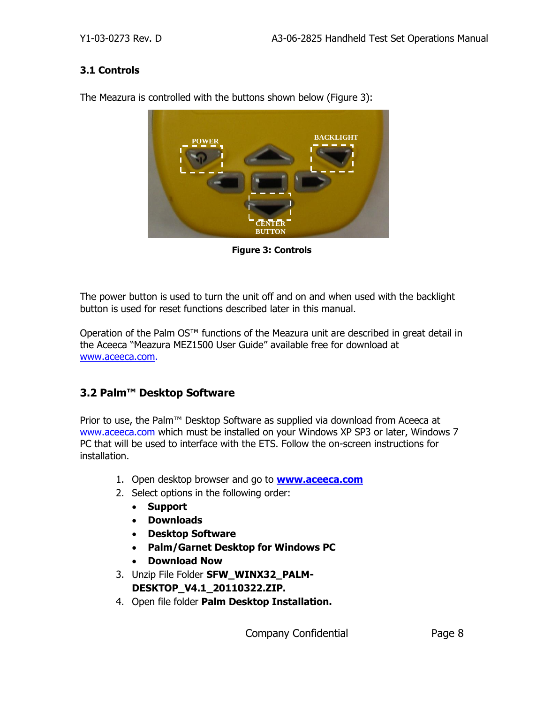#### <span id="page-8-0"></span>**3.1 Controls**



The Meazura is controlled with the buttons shown below (Figure 3):

**Figure 3: Controls**

The power button is used to turn the unit off and on and when used with the backlight button is used for reset functions described later in this manual.

Operation of the Palm OS<sup>™</sup> functions of the Meazura unit are described in great detail in the Aceeca "Meazura MEZ1500 User Guide" available free for download at [www.aceeca.com.](http://www.aceeca.com/)

### <span id="page-8-1"></span>**3.2 Palm™ Desktop Software**

Prior to use, the Palm™ Desktop Software as supplied via download from Aceeca at [www.aceeca.com](http://www.aceeca.com/) which must be installed on your Windows XP SP3 or later, Windows 7 PC that will be used to interface with the ETS. Follow the on-screen instructions for installation.

- 1. Open desktop browser and go to **[www.aceeca.com](http://www.aceeca.com/)**
- 2. Select options in the following order:
	- **Support**
	- **Downloads**
	- **Desktop Software**
	- **Palm/Garnet Desktop for Windows PC**
	- **Download Now**
- 3. Unzip File Folder **SFW\_WINX32\_PALM-DESKTOP\_V4.1\_20110322.ZIP.**
- 4. Open file folder **Palm Desktop Installation.**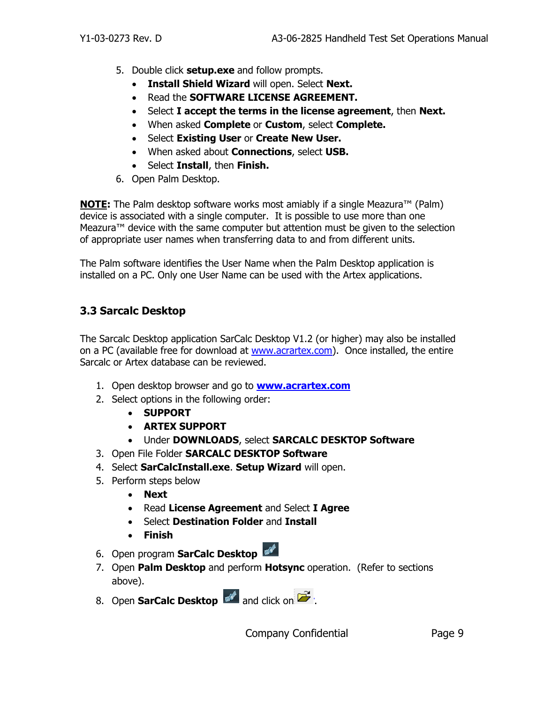- 5. Double click **setup.exe** and follow prompts.
	- **Install Shield Wizard** will open. Select **Next.**
	- Read the **SOFTWARE LICENSE AGREEMENT.**
	- Select **I accept the terms in the license agreement**, then **Next.**
	- When asked **Complete** or **Custom**, select **Complete.**
	- Select **Existing User** or **Create New User.**
	- When asked about **Connections**, select **USB.**
	- Select **Install**, then **Finish.**
- 6. Open Palm Desktop.

**NOTE:** The Palm desktop software works most amiably if a single Meazura<sup>™</sup> (Palm) device is associated with a single computer. It is possible to use more than one Meazura™ device with the same computer but attention must be given to the selection of appropriate user names when transferring data to and from different units.

The Palm software identifies the User Name when the Palm Desktop application is installed on a PC. Only one User Name can be used with the Artex applications.

### <span id="page-9-0"></span>**3.3 Sarcalc Desktop**

The Sarcalc Desktop application SarCalc Desktop V1.2 (or higher) may also be installed on a PC (available free for download at [www.acrartex.com\)](http://www.acrartex.com/). Once installed, the entire Sarcalc or Artex database can be reviewed.

- 1. Open desktop browser and go to **[www.acrartex.com](http://www.acrartex.com/)**
- 2. Select options in the following order:
	- **SUPPORT**
	- **ARTEX SUPPORT**
	- Under **DOWNLOADS**, select **SARCALC DESKTOP Software**
- 3. Open File Folder **SARCALC DESKTOP Software**
- 4. Select **SarCalcInstall.exe**. **Setup Wizard** will open.
- 5. Perform steps below
	- **Next**
	- Read **License Agreement** and Select **I Agree**
	- Select **Destination Folder** and **Install**
	- **Finish**
- 6. Open program **SarCalc Desktop**
- 7. Open **Palm Desktop** and perform **Hotsync** operation. (Refer to sections above).
- 8. Open **SarCalc Desktop and click on**  $\mathbb{Z}$ .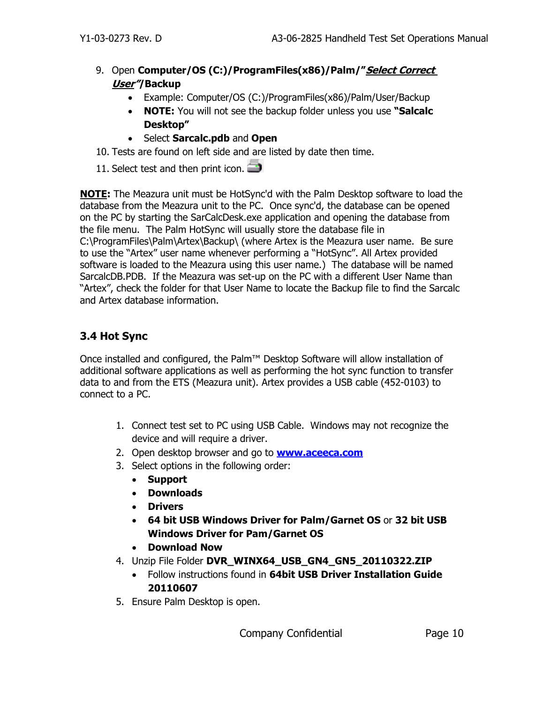- 9. Open **Computer/OS (C:)/ProgramFiles(x86)/Palm/"Select Correct User"/Backup**
	- Example: Computer/OS (C:)/ProgramFiles(x86)/Palm/User/Backup
	- **NOTE:** You will not see the backup folder unless you use **"Salcalc Desktop"**
	- Select **Sarcalc.pdb** and **Open**
- 10. Tests are found on left side and are listed by date then time.
- 11. Select test and then print icon.

**NOTE:** The Meazura unit must be HotSync'd with the Palm Desktop software to load the database from the Meazura unit to the PC. Once sync'd, the database can be opened on the PC by starting the SarCalcDesk.exe application and opening the database from the file menu. The Palm HotSync will usually store the database file in C:\ProgramFiles\Palm\Artex\Backup\ (where Artex is the Meazura user name. Be sure to use the "Artex" user name whenever performing a "HotSync". All Artex provided software is loaded to the Meazura using this user name.) The database will be named SarcalcDB.PDB. If the Meazura was set-up on the PC with a different User Name than "Artex", check the folder for that User Name to locate the Backup file to find the Sarcalc and Artex database information.

## <span id="page-10-0"></span>**3.4 Hot Sync**

Once installed and configured, the Palm™ Desktop Software will allow installation of additional software applications as well as performing the hot sync function to transfer data to and from the ETS (Meazura unit). Artex provides a USB cable (452-0103) to connect to a PC.

- 1. Connect test set to PC using USB Cable. Windows may not recognize the device and will require a driver.
- 2. Open desktop browser and go to **[www.aceeca.com](http://www.aceeca.com/)**
- 3. Select options in the following order:
	- **Support**
	- **Downloads**
	- **Drivers**
	- **64 bit USB Windows Driver for Palm/Garnet OS** or **32 bit USB Windows Driver for Pam/Garnet OS**
	- **Download Now**
- 4. Unzip File Folder **DVR\_WINX64\_USB\_GN4\_GN5\_20110322.ZIP**
	- Follow instructions found in **64bit USB Driver Installation Guide 20110607**
- 5. Ensure Palm Desktop is open.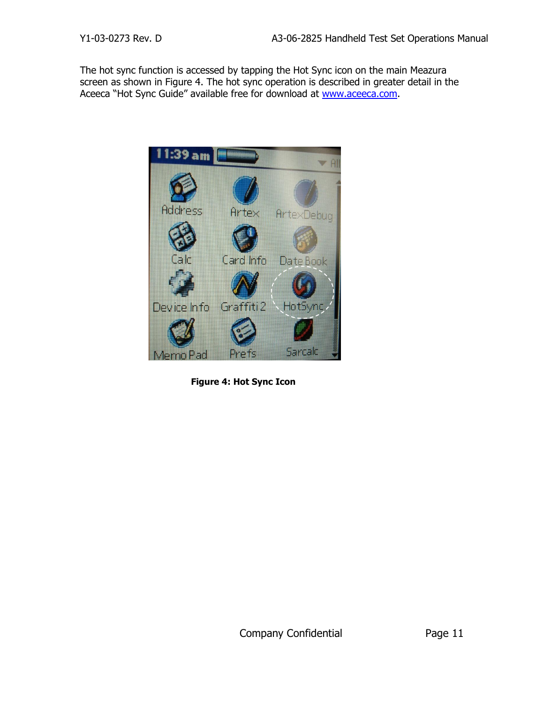The hot sync function is accessed by tapping the Hot Sync icon on the main Meazura screen as shown in Figure 4. The hot sync operation is described in greater detail in the Aceeca "Hot Sync Guide" available free for download at [www.aceeca.com.](http://www.aceeca.com/)

<span id="page-11-0"></span>

**Figure 4: Hot Sync Icon**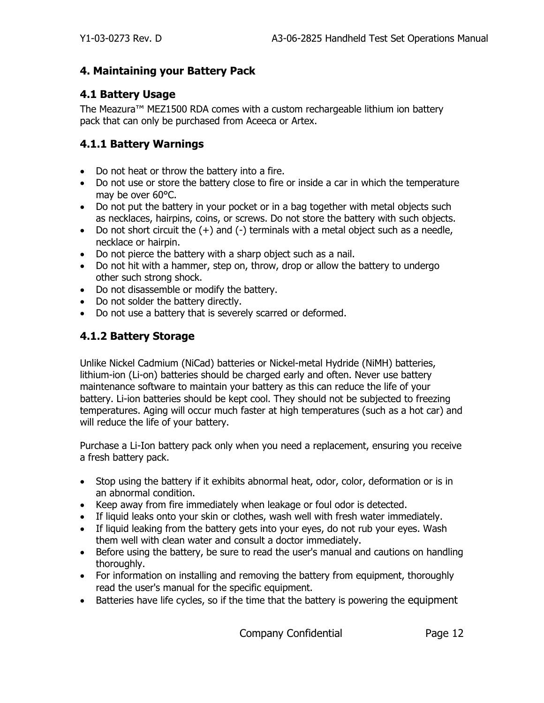#### **4. Maintaining your Battery Pack**

### <span id="page-12-0"></span>**4.1 Battery Usage**

The Meazura™ MEZ1500 RDA comes with a custom rechargeable lithium ion battery pack that can only be purchased from Aceeca or Artex.

#### <span id="page-12-1"></span>**4.1.1 Battery Warnings**

- Do not heat or throw the battery into a fire.
- Do not use or store the battery close to fire or inside a car in which the temperature may be over 60°C.
- Do not put the battery in your pocket or in a bag together with metal objects such as necklaces, hairpins, coins, or screws. Do not store the battery with such objects.
- Do not short circuit the  $(+)$  and  $(-)$  terminals with a metal object such as a needle, necklace or hairpin.
- Do not pierce the battery with a sharp object such as a nail.
- Do not hit with a hammer, step on, throw, drop or allow the battery to undergo other such strong shock.
- Do not disassemble or modify the battery.
- Do not solder the battery directly.
- <span id="page-12-2"></span>• Do not use a battery that is severely scarred or deformed.

## **4.1.2 Battery Storage**

Unlike Nickel Cadmium (NiCad) batteries or Nickel-metal Hydride (NiMH) batteries, lithium-ion (Li-on) batteries should be charged early and often. Never use battery maintenance software to maintain your battery as this can reduce the life of your battery. Li-ion batteries should be kept cool. They should not be subjected to freezing temperatures. Aging will occur much faster at high temperatures (such as a hot car) and will reduce the life of your battery.

Purchase a Li-Ion battery pack only when you need a replacement, ensuring you receive a fresh battery pack.

- Stop using the battery if it exhibits abnormal heat, odor, color, deformation or is in an abnormal condition.
- Keep away from fire immediately when leakage or foul odor is detected.
- If liquid leaks onto your skin or clothes, wash well with fresh water immediately.
- If liquid leaking from the battery gets into your eyes, do not rub your eyes. Wash them well with clean water and consult a doctor immediately.
- Before using the battery, be sure to read the user's manual and cautions on handling thoroughly.
- For information on installing and removing the battery from equipment, thoroughly read the user's manual for the specific equipment.
- Batteries have life cycles, so if the time that the battery is powering the equipment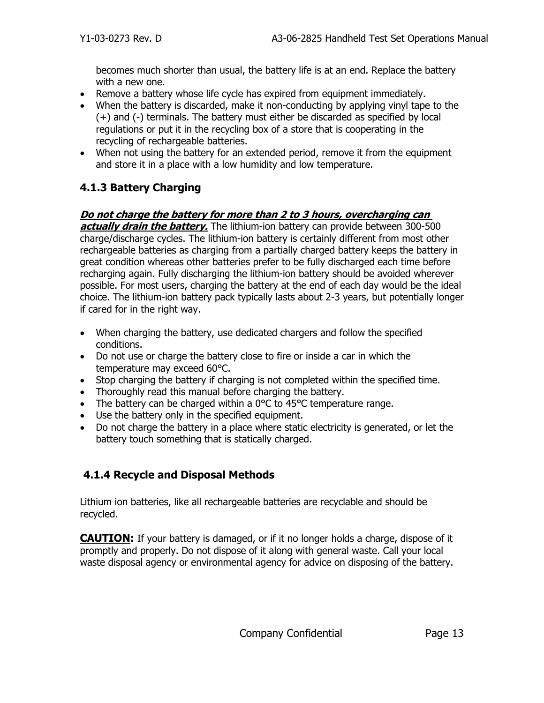becomes much shorter than usual, the battery life is at an end. Replace the battery with a new one.

- Remove a battery whose life cycle has expired from equipment immediately.
- When the battery is discarded, make it non-conducting by applying vinyl tape to the (+) and (-) terminals. The battery must either be discarded as specified by local regulations or put it in the recycling box of a store that is cooperating in the recycling of rechargeable batteries.
- When not using the battery for an extended period, remove it from the equipment and store it in a place with a low humidity and low temperature.

## <span id="page-13-0"></span>**4.1.3 Battery Charging**

### **Do not charge the battery for more than 2 to 3 hours, overcharging can**

**actually drain the battery.** The lithium-ion battery can provide between 300-500 charge/discharge cycles. The lithium-ion battery is certainly different from most other rechargeable batteries as charging from a partially charged battery keeps the battery in great condition whereas other batteries prefer to be fully discharged each time before recharging again. Fully discharging the lithium-ion battery should be avoided wherever possible. For most users, charging the battery at the end of each day would be the ideal choice. The lithium-ion battery pack typically lasts about 2-3 years, but potentially longer if cared for in the right way.

- When charging the battery, use dedicated chargers and follow the specified conditions.
- Do not use or charge the battery close to fire or inside a car in which the temperature may exceed 60°C.
- Stop charging the battery if charging is not completed within the specified time.
- Thoroughly read this manual before charging the battery.
- The battery can be charged within a 0°C to 45°C temperature range.
- Use the battery only in the specified equipment.
- Do not charge the battery in a place where static electricity is generated, or let the battery touch something that is statically charged.

## <span id="page-13-1"></span>**4.1.4 Recycle and Disposal Methods**

Lithium ion batteries, like all rechargeable batteries are recyclable and should be recycled.

**CAUTION:** If your battery is damaged, or if it no longer holds a charge, dispose of it promptly and properly. Do not dispose of it along with general waste. Call your local waste disposal agency or environmental agency for advice on disposing of the battery.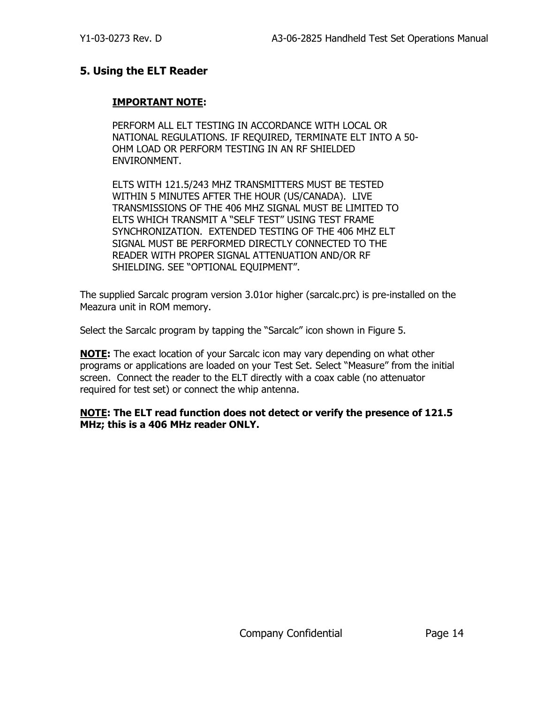#### <span id="page-14-0"></span>**5. Using the ELT Reader**

#### **IMPORTANT NOTE:**

PERFORM ALL ELT TESTING IN ACCORDANCE WITH LOCAL OR NATIONAL REGULATIONS. IF REQUIRED, TERMINATE ELT INTO A 50- OHM LOAD OR PERFORM TESTING IN AN RF SHIELDED ENVIRONMENT.

ELTS WITH 121.5/243 MHZ TRANSMITTERS MUST BE TESTED WITHIN 5 MINUTES AFTER THE HOUR (US/CANADA). LIVE TRANSMISSIONS OF THE 406 MHZ SIGNAL MUST BE LIMITED TO ELTS WHICH TRANSMIT A "SELF TEST" USING TEST FRAME SYNCHRONIZATION. EXTENDED TESTING OF THE 406 MHZ ELT SIGNAL MUST BE PERFORMED DIRECTLY CONNECTED TO THE READER WITH PROPER SIGNAL ATTENUATION AND/OR RF SHIELDING. SEE "OPTIONAL EQUIPMENT".

The supplied Sarcalc program version 3.01or higher (sarcalc.prc) is pre-installed on the Meazura unit in ROM memory.

Select the Sarcalc program by tapping the "Sarcalc" icon shown in Figure 5.

**NOTE:** The exact location of your Sarcalc icon may vary depending on what other programs or applications are loaded on your Test Set. Select "Measure" from the initial screen. Connect the reader to the ELT directly with a coax cable (no attenuator required for test set) or connect the whip antenna.

**NOTE: The ELT read function does not detect or verify the presence of 121.5 MHz; this is a 406 MHz reader ONLY.**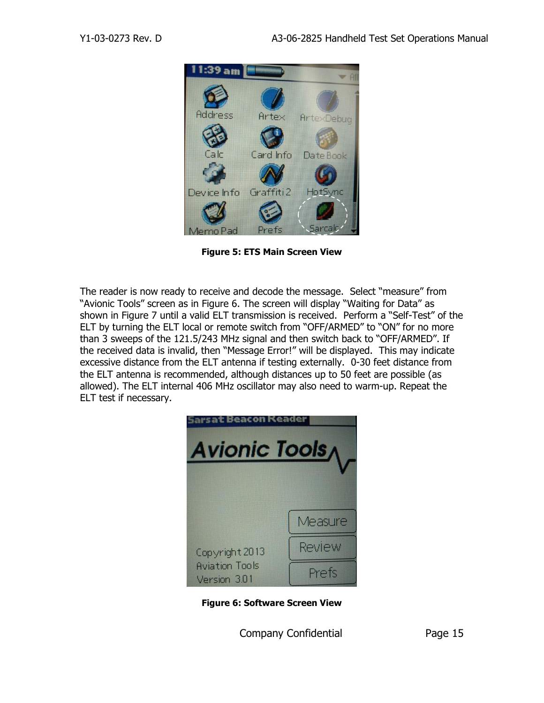

**Figure 5: ETS Main Screen View**

The reader is now ready to receive and decode the message. Select "measure" from "Avionic Tools" screen as in Figure 6. The screen will display "Waiting for Data" as shown in Figure 7 until a valid ELT transmission is received. Perform a "Self-Test" of the ELT by turning the ELT local or remote switch from "OFF/ARMED" to "ON" for no more than 3 sweeps of the 121.5/243 MHz signal and then switch back to "OFF/ARMED". If the received data is invalid, then "Message Error!" will be displayed. This may indicate excessive distance from the ELT antenna if testing externally. 0-30 feet distance from the ELT antenna is recommended, although distances up to 50 feet are possible (as allowed). The ELT internal 406 MHz oscillator may also need to warm-up. Repeat the ELT test if necessary.



**Figure 6: Software Screen View**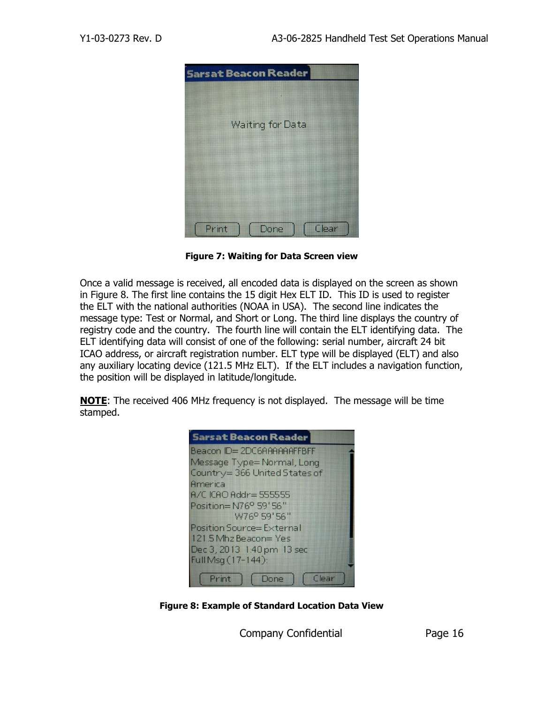

**Figure 7: Waiting for Data Screen view**

Once a valid message is received, all encoded data is displayed on the screen as shown in Figure 8. The first line contains the 15 digit Hex ELT ID. This ID is used to register the ELT with the national authorities (NOAA in USA). The second line indicates the message type: Test or Normal, and Short or Long. The third line displays the country of registry code and the country. The fourth line will contain the ELT identifying data. The ELT identifying data will consist of one of the following: serial number, aircraft 24 bit ICAO address, or aircraft registration number. ELT type will be displayed (ELT) and also any auxiliary locating device (121.5 MHz ELT). If the ELT includes a navigation function, the position will be displayed in latitude/longitude.

**NOTE**: The received 406 MHz frequency is not displayed. The message will be time stamped.

| <b>Sarsat Beacon Reader</b>        |
|------------------------------------|
| Beacon ID=2DC6AAAAAAFFBFF          |
| Message Type=Normal, Long          |
| Country=366 United States of       |
| America                            |
| <b>A/C ICAO Addr= 555555</b>       |
| Position=N76 <sup>o</sup> 59'56"   |
| W76 <sup>o</sup> 59'56"            |
| Position Source=External           |
| 121.5 Mhz Beacon=Yes               |
| Dec 3, 2013 1:40 pm 13 sec         |
| Full Msq (17-144):                 |
| Print<br>Clear <sup></sup><br>Done |

**Figure 8: Example of Standard Location Data View**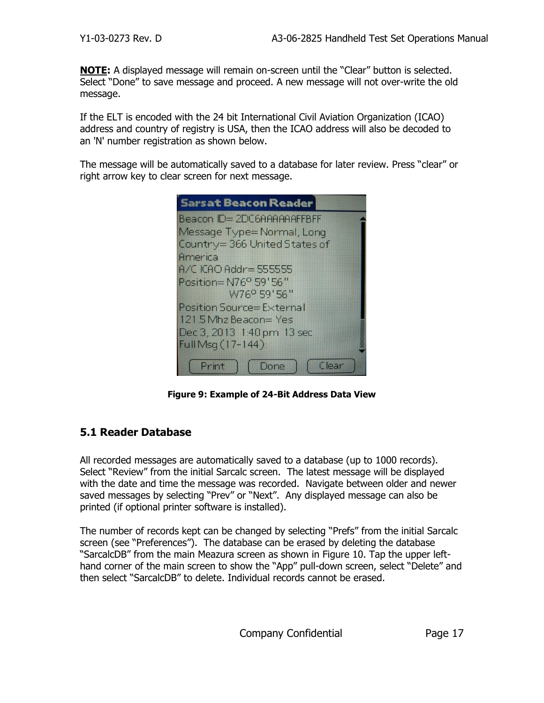**NOTE:** A displayed message will remain on-screen until the "Clear" button is selected. Select "Done" to save message and proceed. A new message will not over-write the old message.

If the ELT is encoded with the 24 bit International Civil Aviation Organization (ICAO) address and country of registry is USA, then the ICAO address will also be decoded to an 'N' number registration as shown below.

The message will be automatically saved to a database for later review. Press "clear" or right arrow key to clear screen for next message.

| <b>Sarsat Beacon Reader</b>                                 |
|-------------------------------------------------------------|
| Beacon ID=2DC6AAAAAAFFBFF                                   |
| Message Type=Normal, Long                                   |
| Country=366 United States of                                |
| America                                                     |
| <b>A/C ICAO Addr= 5555555</b>                               |
| Position=N76 <sup>o</sup> 59'56"<br>W76 <sup>o</sup> 59'56" |
| Position Source=External                                    |
| 121.5 Mhz Beacon= Yes                                       |
| Dec 3, 2013 1:40 pm 13 sec                                  |
| Full Msg (17-144):                                          |
|                                                             |
| Print<br>Clear<br>Done                                      |

**Figure 9: Example of 24-Bit Address Data View**

#### <span id="page-17-0"></span>**5.1 Reader Database**

All recorded messages are automatically saved to a database (up to 1000 records). Select "Review" from the initial Sarcalc screen. The latest message will be displayed with the date and time the message was recorded. Navigate between older and newer saved messages by selecting "Prev" or "Next". Any displayed message can also be printed (if optional printer software is installed).

The number of records kept can be changed by selecting "Prefs" from the initial Sarcalc screen (see "Preferences"). The database can be erased by deleting the database "SarcalcDB" from the main Meazura screen as shown in Figure 10. Tap the upper lefthand corner of the main screen to show the "App" pull-down screen, select "Delete" and then select "SarcalcDB" to delete. Individual records cannot be erased.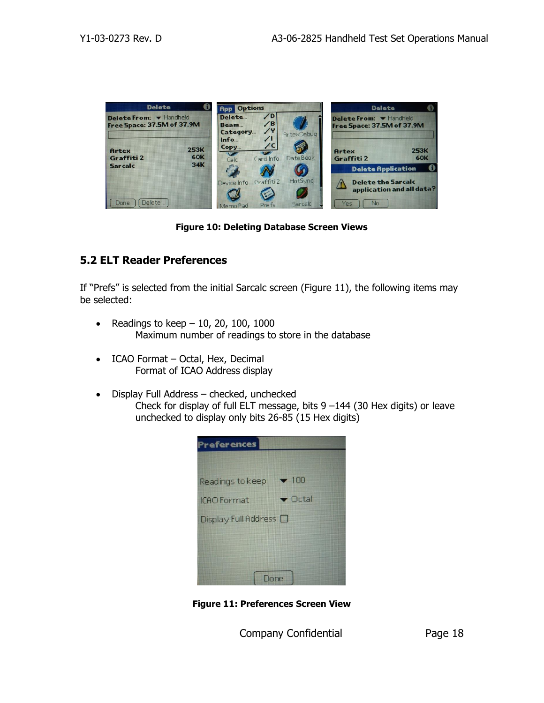

**Figure 10: Deleting Database Screen Views**

#### <span id="page-18-0"></span>**5.2 ELT Reader Preferences**

If "Prefs" is selected from the initial Sarcalc screen (Figure 11), the following items may be selected:

- Readings to keep  $-10$ , 20, 100, 1000 Maximum number of readings to store in the database
- ICAO Format Octal, Hex, Decimal Format of ICAO Address display
- Display Full Address checked, unchecked Check for display of full ELT message, bits 9 –144 (30 Hex digits) or leave unchecked to display only bits 26-85 (15 Hex digits)

| <b>Preferences</b>               |                            |  |
|----------------------------------|----------------------------|--|
|                                  |                            |  |
| Readings to keep                 | $\blacktriangledown$ 100   |  |
| <b>ICAO</b> Format               | $\blacktriangledown$ Octal |  |
| $Display$ Full Address $\square$ |                            |  |
|                                  |                            |  |
|                                  |                            |  |
|                                  | Ine                        |  |

**Figure 11: Preferences Screen View**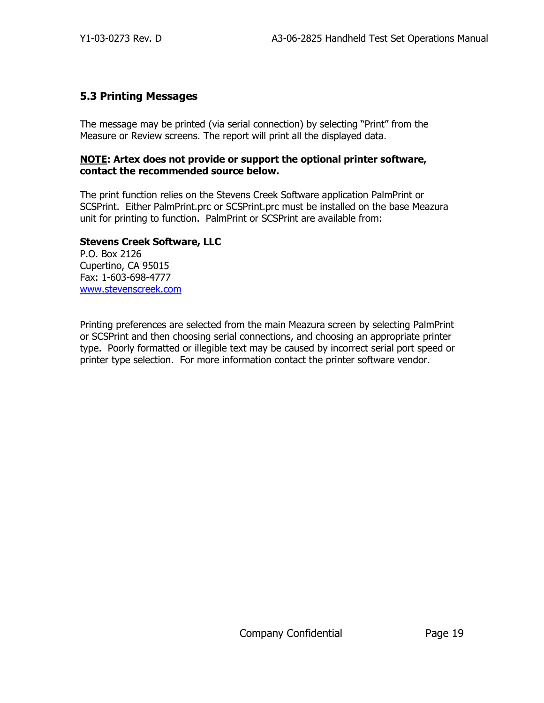### <span id="page-19-0"></span>**5.3 Printing Messages**

The message may be printed (via serial connection) by selecting "Print" from the Measure or Review screens. The report will print all the displayed data.

#### **NOTE: Artex does not provide or support the optional printer software, contact the recommended source below.**

The print function relies on the Stevens Creek Software application PalmPrint or SCSPrint. Either PalmPrint.prc or SCSPrint.prc must be installed on the base Meazura unit for printing to function. PalmPrint or SCSPrint are available from:

#### **Stevens Creek Software, LLC**

P.O. Box 2126 Cupertino, CA 95015 Fax: 1-603-698-4777 [www.stevenscreek.com](http://www.stevenscreek.com/)

Printing preferences are selected from the main Meazura screen by selecting PalmPrint or SCSPrint and then choosing serial connections, and choosing an appropriate printer type. Poorly formatted or illegible text may be caused by incorrect serial port speed or printer type selection. For more information contact the printer software vendor.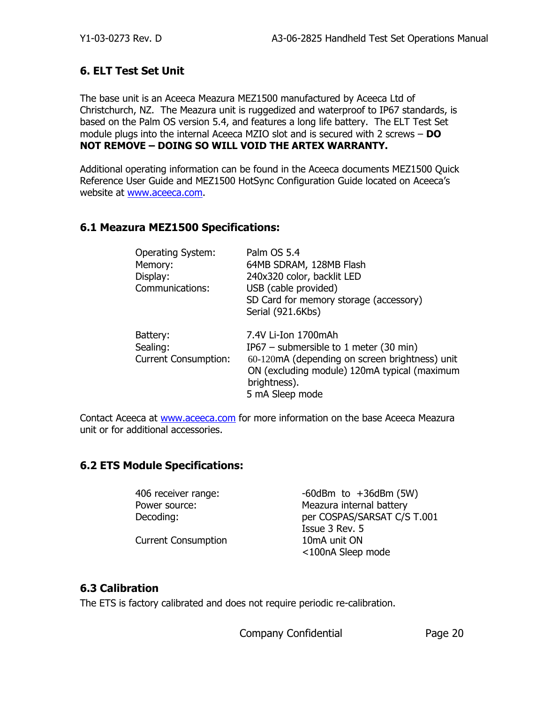#### <span id="page-20-0"></span>**6. ELT Test Set Unit**

The base unit is an Aceeca Meazura MEZ1500 manufactured by Aceeca Ltd of Christchurch, NZ. The Meazura unit is ruggedized and waterproof to IP67 standards, is based on the Palm OS version 5.4, and features a long life battery. The ELT Test Set module plugs into the internal Aceeca MZIO slot and is secured with 2 screws – **DO NOT REMOVE – DOING SO WILL VOID THE ARTEX WARRANTY.**

Additional operating information can be found in the Aceeca documents MEZ1500 Quick Reference User Guide and MEZ1500 HotSync Configuration Guide located on Aceeca's website at [www.aceeca.com.](http://www.aceeca.com/)

#### **6.1 Meazura MEZ1500 Specifications:**

| <b>Operating System:</b><br>Memory:<br>Display:<br>Communications: | Palm OS 5.4<br>64MB SDRAM, 128MB Flash<br>240x320 color, backlit LED<br>USB (cable provided)<br>SD Card for memory storage (accessory)<br>Serial (921.6Kbs)                                        |
|--------------------------------------------------------------------|----------------------------------------------------------------------------------------------------------------------------------------------------------------------------------------------------|
| Battery:<br>Sealing:<br><b>Current Consumption:</b>                | 7.4V Li-Ion 1700mAh<br>IP67 – submersible to 1 meter (30 min)<br>60-120mA (depending on screen brightness) unit<br>ON (excluding module) 120mA typical (maximum<br>brightness).<br>5 mA Sleep mode |

Contact Aceeca at [www.aceeca.com](http://www.aceeca.com/) for more information on the base Aceeca Meazura unit or for additional accessories.

#### <span id="page-20-1"></span>**6.2 ETS Module Specifications:**

| 406 receiver range:        | $-60$ dBm to $+36$ dBm (5W) |
|----------------------------|-----------------------------|
| Power source:              | Meazura internal battery    |
| Decoding:                  | per COSPAS/SARSAT C/S T.001 |
|                            | Issue 3 Rev. 5              |
| <b>Current Consumption</b> | 10 <sub>m</sub> A unit ON   |

<100nA Sleep mode

#### <span id="page-20-2"></span>**6.3 Calibration**

The ETS is factory calibrated and does not require periodic re-calibration.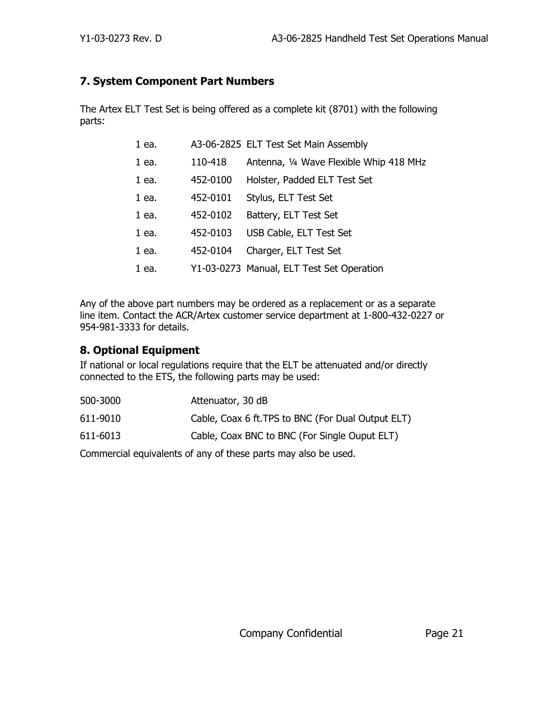#### <span id="page-21-0"></span>**7. System Component Part Numbers**

The Artex ELT Test Set is being offered as a complete kit (8701) with the following parts:

| 110-418<br>1 ea.<br>Holster, Padded ELT Test Set<br>452-0100<br>1 ea.<br>Stylus, ELT Test Set<br>452-0101<br>1 ea.<br>452-0102<br>Battery, ELT Test Set<br>1 ea.<br>USB Cable, ELT Test Set<br>452-0103<br>1 ea.<br>Charger, ELT Test Set<br>1 ea.<br>452-0104<br>Y1-03-0273 Manual, ELT Test Set Operation<br>1 ea. | 1 ea. | A3-06-2825 ELT Test Set Main Assembly   |
|----------------------------------------------------------------------------------------------------------------------------------------------------------------------------------------------------------------------------------------------------------------------------------------------------------------------|-------|-----------------------------------------|
|                                                                                                                                                                                                                                                                                                                      |       | Antenna, 1/4 Wave Flexible Whip 418 MHz |
|                                                                                                                                                                                                                                                                                                                      |       |                                         |
|                                                                                                                                                                                                                                                                                                                      |       |                                         |
|                                                                                                                                                                                                                                                                                                                      |       |                                         |
|                                                                                                                                                                                                                                                                                                                      |       |                                         |
|                                                                                                                                                                                                                                                                                                                      |       |                                         |
|                                                                                                                                                                                                                                                                                                                      |       |                                         |

Any of the above part numbers may be ordered as a replacement or as a separate line item. Contact the ACR/Artex customer service department at 1-800-432-0227 or 954-981-3333 for details.

### <span id="page-21-1"></span>**8. Optional Equipment**

If national or local regulations require that the ELT be attenuated and/or directly connected to the ETS, the following parts may be used:

| 500-3000 | Attenuator, 30 dB                                  |
|----------|----------------------------------------------------|
| 611-9010 | Cable, Coax 6 ft. TPS to BNC (For Dual Output ELT) |
| 611-6013 | Cable, Coax BNC to BNC (For Single Ouput ELT)      |

Commercial equivalents of any of these parts may also be used.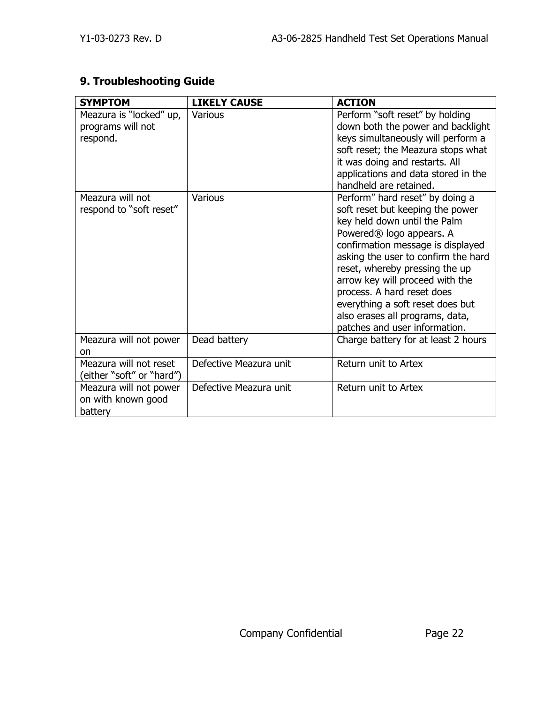## <span id="page-22-0"></span>**9. Troubleshooting Guide**

| <b>SYMPTOM</b>                                           | <b>LIKELY CAUSE</b>    | <b>ACTION</b>                                                                                                                                                                                                                                                                                                                                                                                                                      |
|----------------------------------------------------------|------------------------|------------------------------------------------------------------------------------------------------------------------------------------------------------------------------------------------------------------------------------------------------------------------------------------------------------------------------------------------------------------------------------------------------------------------------------|
| Meazura is "locked" up,<br>programs will not<br>respond. | <b>Various</b>         | Perform "soft reset" by holding<br>down both the power and backlight<br>keys simultaneously will perform a<br>soft reset; the Meazura stops what<br>it was doing and restarts. All<br>applications and data stored in the<br>handheld are retained.                                                                                                                                                                                |
| Meazura will not<br>respond to "soft reset"              | Various                | Perform" hard reset" by doing a<br>soft reset but keeping the power<br>key held down until the Palm<br>Powered <sup>®</sup> logo appears. A<br>confirmation message is displayed<br>asking the user to confirm the hard<br>reset, whereby pressing the up<br>arrow key will proceed with the<br>process. A hard reset does<br>everything a soft reset does but<br>also erases all programs, data,<br>patches and user information. |
| Meazura will not power<br><sub>on</sub>                  | Dead battery           | Charge battery for at least 2 hours                                                                                                                                                                                                                                                                                                                                                                                                |
| Meazura will not reset<br>(either "soft" or "hard")      | Defective Meazura unit | Return unit to Artex                                                                                                                                                                                                                                                                                                                                                                                                               |
| Meazura will not power<br>on with known good<br>battery  | Defective Meazura unit | Return unit to Artex                                                                                                                                                                                                                                                                                                                                                                                                               |